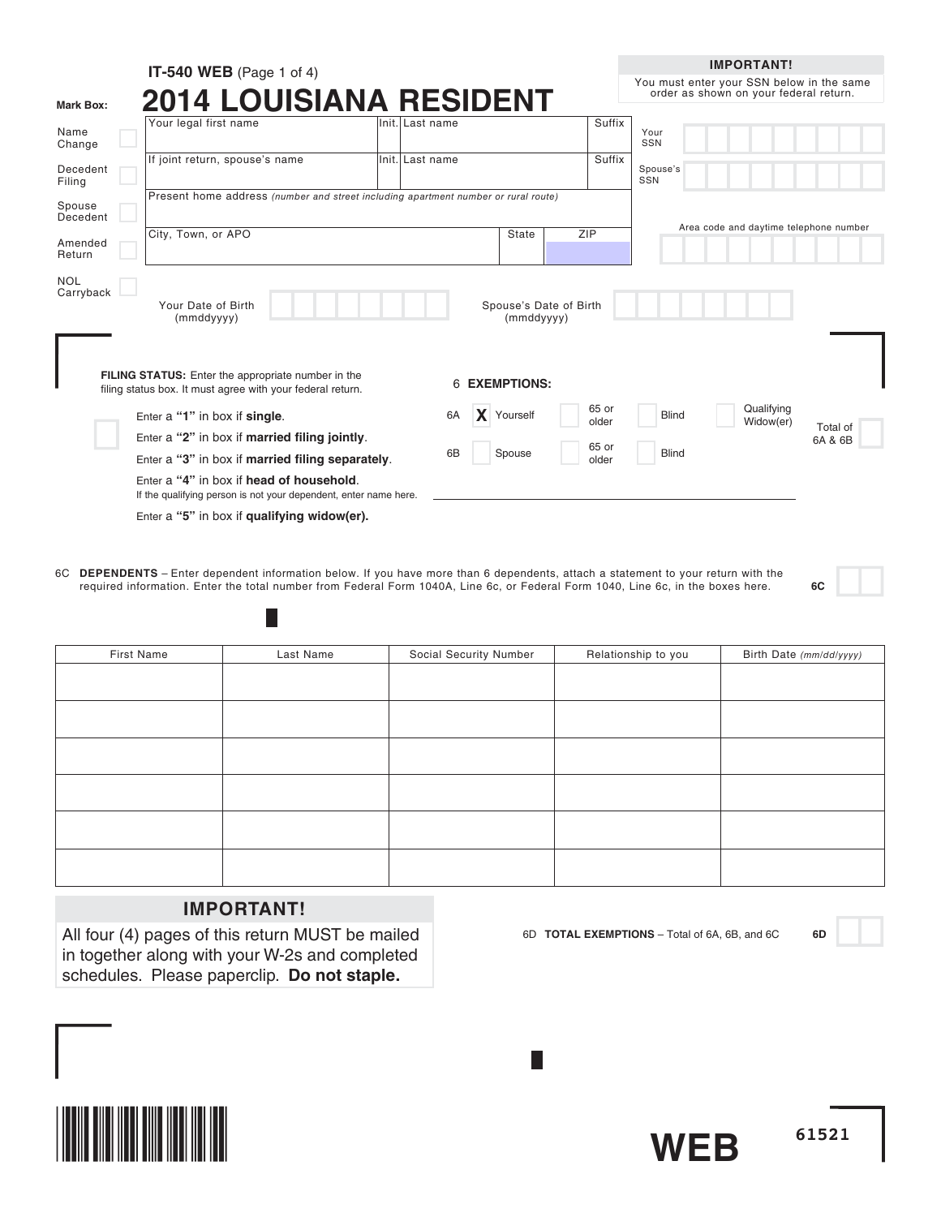|                         | IT-540 WEB (Page 1 of 4)                                                                                         |                         |                                      |                | <b>IMPORTANT!</b>                                                                   |
|-------------------------|------------------------------------------------------------------------------------------------------------------|-------------------------|--------------------------------------|----------------|-------------------------------------------------------------------------------------|
| Mark Box:               | <b>2014 LOUISIANA RESIDENT</b>                                                                                   |                         |                                      |                | You must enter your SSN below in the same<br>order as shown on your federal return. |
| Name<br>Change          | Your legal first name                                                                                            | lInit. Last name        |                                      | Suffix         | Your<br>SSN                                                                         |
| Decedent<br>Filing      | If joint return, spouse's name                                                                                   | Init. Last name         |                                      | Suffix         | Spouse's<br>SSN                                                                     |
| Spouse<br>Decedent      | Present home address (number and street including apartment number or rural route)                               |                         |                                      |                | Area code and daytime telephone number                                              |
| Amended<br>Return       | City, Town, or APO                                                                                               |                         | ZIP<br>State                         |                |                                                                                     |
| <b>NOL</b><br>Carryback | Your Date of Birth<br>(mmddyyyy)                                                                                 |                         | Spouse's Date of Birth<br>(mmddyyyy) |                |                                                                                     |
|                         | FILING STATUS: Enter the appropriate number in the<br>filing status box. It must agree with your federal return. | <b>EXEMPTIONS:</b><br>6 |                                      |                |                                                                                     |
|                         | Enter a "1" in box if single.                                                                                    | $\mathbf{x}$<br>6A      | Yourself                             | 65 or<br>older | Qualifying<br><b>Blind</b><br>Widow(er)                                             |
|                         | Enter a "2" in box if married filing jointly.                                                                    |                         |                                      | 65 or          | Total of<br>6A & 6B                                                                 |
|                         | Enter a "3" in box if married filing separately.                                                                 | 6B                      | Spouse                               | older          | <b>Blind</b>                                                                        |
|                         | Enter a "4" in box if head of household.<br>If the qualifying person is not your dependent, enter name here.     |                         |                                      |                |                                                                                     |
|                         | Enter a "5" in box if qualifying widow(er).                                                                      |                         |                                      |                |                                                                                     |

6C **DEPENDENTS** – Enter dependent information below. If you have more than 6 dependents, attach a statement to your return with the required information. Enter the total number from Federal Form 1040A, Line 6c, or Federal Form 1040, Line 6c, in the boxes here. **6C**

| First Name | Last Name | Social Security Number | Relationship to you | Birth Date (mm/dd/yyyy) |
|------------|-----------|------------------------|---------------------|-------------------------|
|            |           |                        |                     |                         |
|            |           |                        |                     |                         |
|            |           |                        |                     |                         |
|            |           |                        |                     |                         |
|            |           |                        |                     |                         |
|            |           |                        |                     |                         |
|            |           |                        |                     |                         |
|            |           |                        |                     |                         |
|            |           |                        |                     |                         |
|            |           |                        |                     |                         |
|            |           |                        |                     |                         |
|            |           |                        |                     |                         |

# **IMPORTANT!**

H

All four (4) pages of this return MUST be mailed in together along with your W-2s and completed schedules. Please paperclip. **Do not staple.**

6D **TOTAL EXEMPTIONS** – Total of 6A, 6B, and 6C **6D**



**WEB**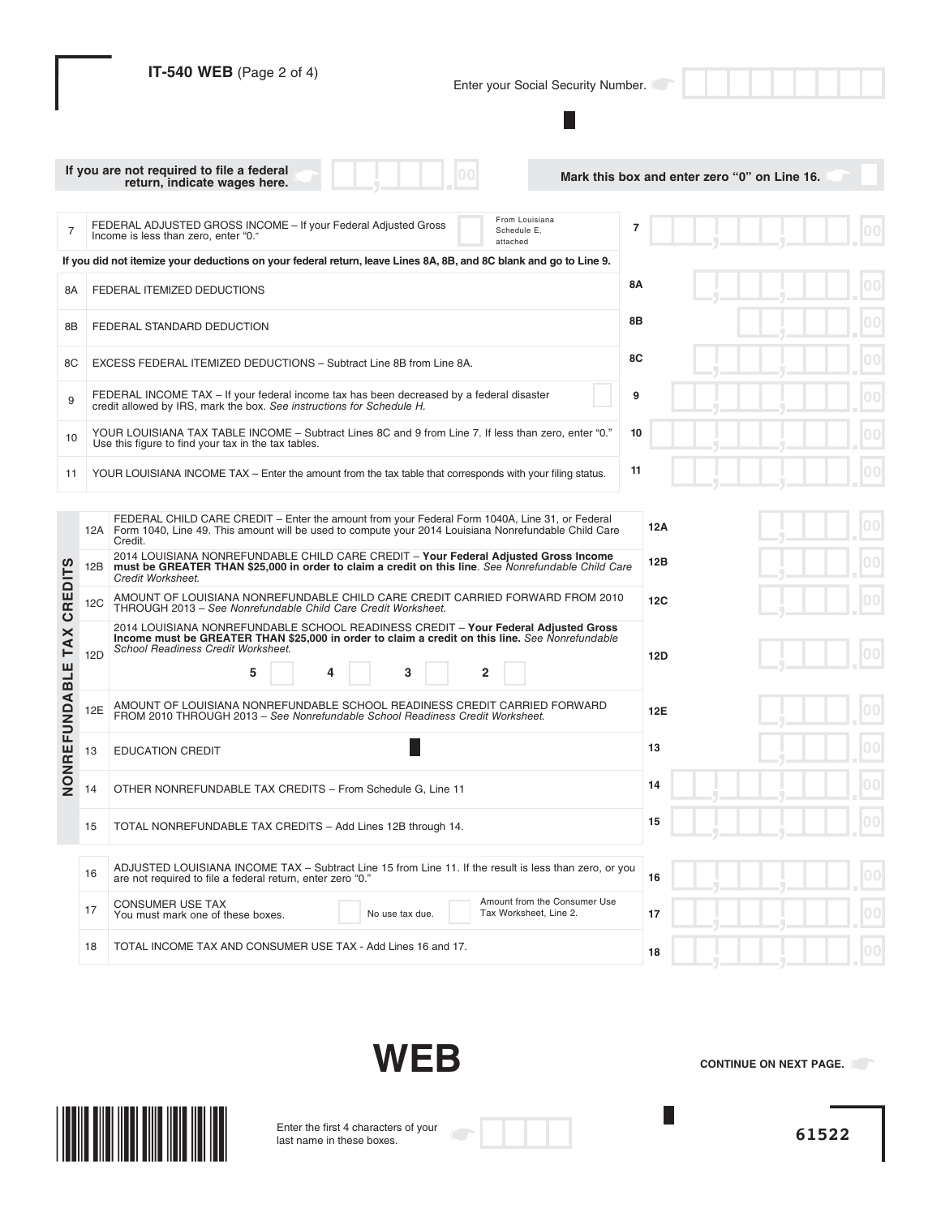|                 |            | IT-540 WEB (Page 2 of 4)<br>Enter your Social Security Number.                                                                                                                                                                                                                                                                                                                                                      |                                              |
|-----------------|------------|---------------------------------------------------------------------------------------------------------------------------------------------------------------------------------------------------------------------------------------------------------------------------------------------------------------------------------------------------------------------------------------------------------------------|----------------------------------------------|
|                 |            | If you are not required to file a federal                                                                                                                                                                                                                                                                                                                                                                           |                                              |
|                 |            | return, indicate wages here.                                                                                                                                                                                                                                                                                                                                                                                        | Mark this box and enter zero "0" on Line 16. |
| $\overline{7}$  |            | From Louisiana<br>FEDERAL ADJUSTED GROSS INCOME - If your Federal Adjusted Gross<br>Schedule E,<br>Income is less than zero, enter "0."<br>attached                                                                                                                                                                                                                                                                 | 7                                            |
|                 |            | If you did not itemize your deductions on your federal return, leave Lines 8A, 8B, and 8C blank and go to Line 9.                                                                                                                                                                                                                                                                                                   |                                              |
| 8Α              |            | FEDERAL ITEMIZED DEDUCTIONS                                                                                                                                                                                                                                                                                                                                                                                         | 8Α                                           |
| 8Β              |            | FEDERAL STANDARD DEDUCTION                                                                                                                                                                                                                                                                                                                                                                                          | 8Β                                           |
| 8C              |            | EXCESS FEDERAL ITEMIZED DEDUCTIONS - Subtract Line 8B from Line 8A.                                                                                                                                                                                                                                                                                                                                                 | 8C                                           |
| 9               |            | FEDERAL INCOME TAX - If your federal income tax has been decreased by a federal disaster<br>credit allowed by IRS, mark the box. See instructions for Schedule H.                                                                                                                                                                                                                                                   | 9                                            |
| 10              |            | YOUR LOUISIANA TAX TABLE INCOME - Subtract Lines 8C and 9 from Line 7. If less than zero, enter "0."<br>Use this figure to find your tax in the tax tables.                                                                                                                                                                                                                                                         | 10                                           |
| 11              |            | YOUR LOUISIANA INCOME TAX – Enter the amount from the tax table that corresponds with your filing status.                                                                                                                                                                                                                                                                                                           | 11                                           |
|                 | 12B        | FEDERAL CHILD CARE CREDIT – Enter the amount from your Federal Form 1040A, Line 31, or Federal<br>12A Form 1040, Line 49. This amount will be used to compute your 2014 Louisiana Nonrefundable Child Care<br>Credit.<br>2014 LOUISIANA NONREFUNDABLE CHILD CARE CREDIT - Your Federal Adjusted Gross Income<br>must be GREATER THAN \$25,000 in order to claim a credit on this line. See Nonrefundable Child Care | 12A<br>12B                                   |
| <b>CREDITS</b>  | 12C        | Credit Worksheet.<br>AMOUNT OF LOUISIANA NONREFUNDABLE CHILD CARE CREDIT CARRIED FORWARD FROM 2010<br>THROUGH 2013 - See Nonrefundable Child Care Credit Worksheet.                                                                                                                                                                                                                                                 | 12C                                          |
| <b>TAX</b>      | <b>12D</b> | 2014 LOUISIANA NONREFUNDABLE SCHOOL READINESS CREDIT - Your Federal Adjusted Gross<br>Income must be GREATER THAN \$25,000 in order to claim a credit on this line. See Nonrefundable<br>School Readiness Credit Worksheet.<br>5<br>3<br>2                                                                                                                                                                          | 12D                                          |
| <b>FUNDABLE</b> | 12E        | AMOUNT OF LOUISIANA NONREFUNDABLE SCHOOL READINESS CREDIT CARRIED FORWARD<br>FROM 2010 THROUGH 2013 - See Nonrefundable School Readiness Credit Worksheet.                                                                                                                                                                                                                                                          | 12E                                          |
|                 | 13         | <b>EDUCATION CREDIT</b>                                                                                                                                                                                                                                                                                                                                                                                             | 13                                           |
| NONRE           | 14         | OTHER NONREFUNDABLE TAX CREDITS - From Schedule G, Line 11                                                                                                                                                                                                                                                                                                                                                          | 14                                           |
|                 | 15         | TOTAL NONREFUNDABLE TAX CREDITS - Add Lines 12B through 14.                                                                                                                                                                                                                                                                                                                                                         | 00<br>15                                     |
|                 | 16         | ADJUSTED LOUISIANA INCOME TAX - Subtract Line 15 from Line 11. If the result is less than zero, or you<br>are not required to file a federal return, enter zero "0."                                                                                                                                                                                                                                                | 0 <sup>0</sup><br>16                         |
|                 | 17         | Amount from the Consumer Use<br><b>CONSUMER USE TAX</b><br>Tax Worksheet, Line 2.<br>You must mark one of these boxes.<br>No use tax due.                                                                                                                                                                                                                                                                           | 17                                           |
|                 | 18         | TOTAL INCOME TAX AND CONSUMER USE TAX - Add Lines 16 and 17.                                                                                                                                                                                                                                                                                                                                                        | 18                                           |

**WEB**

**CONTINUE ON NEXT PAGE.** 

 $\overline{\phantom{a}}$ 



Enter the first 4 characters of your last name in these boxes.

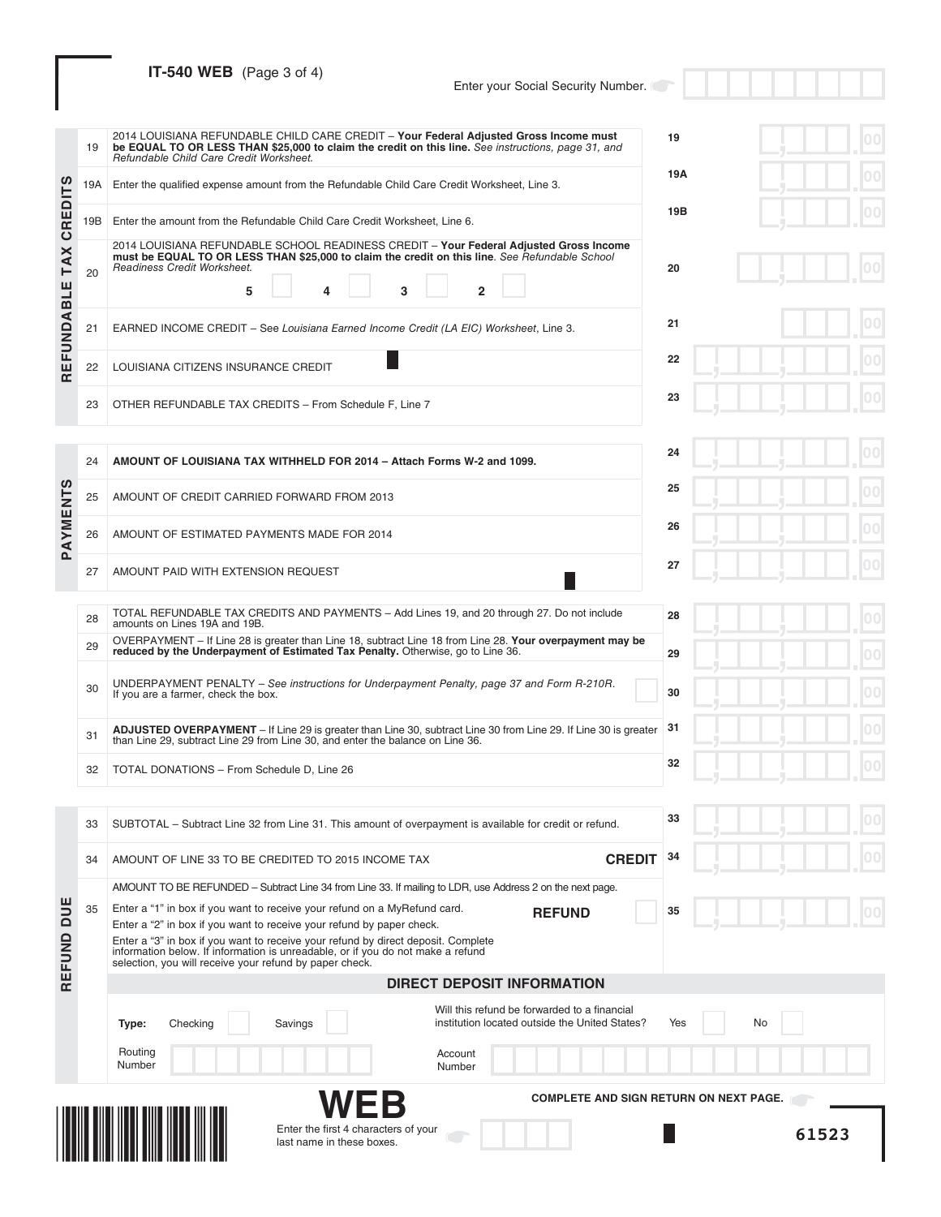# **IT-540 WEB** (Page 3 of 4)

# Enter your Social Security Number.

|                | 19  | 2014 LOUISIANA REFUNDABLE CHILD CARE CREDIT - Your Federal Adjusted Gross Income must<br>be EQUAL TO OR LESS THAN \$25,000 to claim the credit on this line. See instructions, page 31, and<br>Refundable Child Care Credit Worksheet.                 | 19        |
|----------------|-----|--------------------------------------------------------------------------------------------------------------------------------------------------------------------------------------------------------------------------------------------------------|-----------|
|                | 19A | Enter the qualified expense amount from the Refundable Child Care Credit Worksheet, Line 3.                                                                                                                                                            | 19A       |
| <b>CREDITS</b> | 19B | Enter the amount from the Refundable Child Care Credit Worksheet, Line 6.                                                                                                                                                                              | 19B       |
| <b>TAX</b>     | 20  | 2014 LOUISIANA REFUNDABLE SCHOOL READINESS CREDIT - Your Federal Adjusted Gross Income<br>must be EQUAL TO OR LESS THAN \$25,000 to claim the credit on this line. See Refundable School<br>Readiness Credit Worksheet.<br>5<br>3<br>$\mathbf{2}$<br>4 | 20        |
| REFUNDABLE     | 21  | EARNED INCOME CREDIT - See Louisiana Earned Income Credit (LA EIC) Worksheet, Line 3.                                                                                                                                                                  | 21        |
|                | 22  | LOUISIANA CITIZENS INSURANCE CREDIT                                                                                                                                                                                                                    | 22        |
|                | 23  | OTHER REFUNDABLE TAX CREDITS - From Schedule F, Line 7                                                                                                                                                                                                 | 23        |
|                |     |                                                                                                                                                                                                                                                        | 24        |
|                | 24  | AMOUNT OF LOUISIANA TAX WITHHELD FOR 2014 - Attach Forms W-2 and 1099.                                                                                                                                                                                 | 25        |
|                | 25  | AMOUNT OF CREDIT CARRIED FORWARD FROM 2013                                                                                                                                                                                                             |           |
| PAYMENTS       | 26  | AMOUNT OF ESTIMATED PAYMENTS MADE FOR 2014                                                                                                                                                                                                             | 26        |
|                | 27  | AMOUNT PAID WITH EXTENSION REQUEST                                                                                                                                                                                                                     | 27        |
|                | 28  | TOTAL REFUNDABLE TAX CREDITS AND PAYMENTS - Add Lines 19, and 20 through 27. Do not include<br>amounts on Lines 19A and 19B.                                                                                                                           | 28        |
|                | 29  | OVERPAYMENT – If Line 28 is greater than Line 18, subtract Line 18 from Line 28. Your overpayment may be<br>reduced by the Underpayment of Estimated Tax Penalty. Otherwise, go to Line 36.                                                            | 29        |
|                | 30  | UNDERPAYMENT PENALTY – See instructions for Underpayment Penalty, page 37 and Form R-210R.<br>If you are a farmer, check the box.                                                                                                                      | 30        |
|                | 31  | ADJUSTED OVERPAYMENT - If Line 29 is greater than Line 30, subtract Line 30 from Line 29. If Line 30 is greater<br>than Line 29, subtract Line 29 from Line 30, and enter the balance on Line 36.                                                      | 31        |
|                | 32  | TOTAL DONATIONS - From Schedule D, Line 26                                                                                                                                                                                                             | 32        |
|                |     |                                                                                                                                                                                                                                                        |           |
|                | 33  | SUBTOTAL – Subtract Line 32 from Line 31. This amount of overpayment is available for credit or refund.                                                                                                                                                | 33<br>00  |
|                | 34  | <b>CREDIT</b><br>AMOUNT OF LINE 33 TO BE CREDITED TO 2015 INCOME TAX                                                                                                                                                                                   | 34        |
|                | 35  | AMOUNT TO BE REFUNDED – Subtract Line 34 from Line 33. If mailing to LDR, use Address 2 on the next page.<br>Enter a "1" in box if you want to receive your refund on a MyRefund card.                                                                 |           |
| DUE            |     | <b>REFUND</b><br>Enter a "2" in box if you want to receive your refund by paper check.<br>Enter a "3" in box if you want to receive your refund by direct deposit. Complete                                                                            | 35        |
| REFUND         |     | information below. If information is unreadable, or if you do not make a refund<br>selection, you will receive your refund by paper check.                                                                                                             |           |
|                |     | <b>DIRECT DEPOSIT INFORMATION</b>                                                                                                                                                                                                                      |           |
|                |     | Will this refund be forwarded to a financial<br>institution located outside the United States?<br>Savings<br>Type:<br>Checking                                                                                                                         | No<br>Yes |
|                |     | Routing<br>Account<br>Number<br>Number                                                                                                                                                                                                                 |           |
|                |     | <b>COMPLETE AND SIGN RETURN ON NEXT PAGE.</b>                                                                                                                                                                                                          |           |
|                |     | Enter the first 4 characters of your<br>last name in these boxes.                                                                                                                                                                                      | 61523     |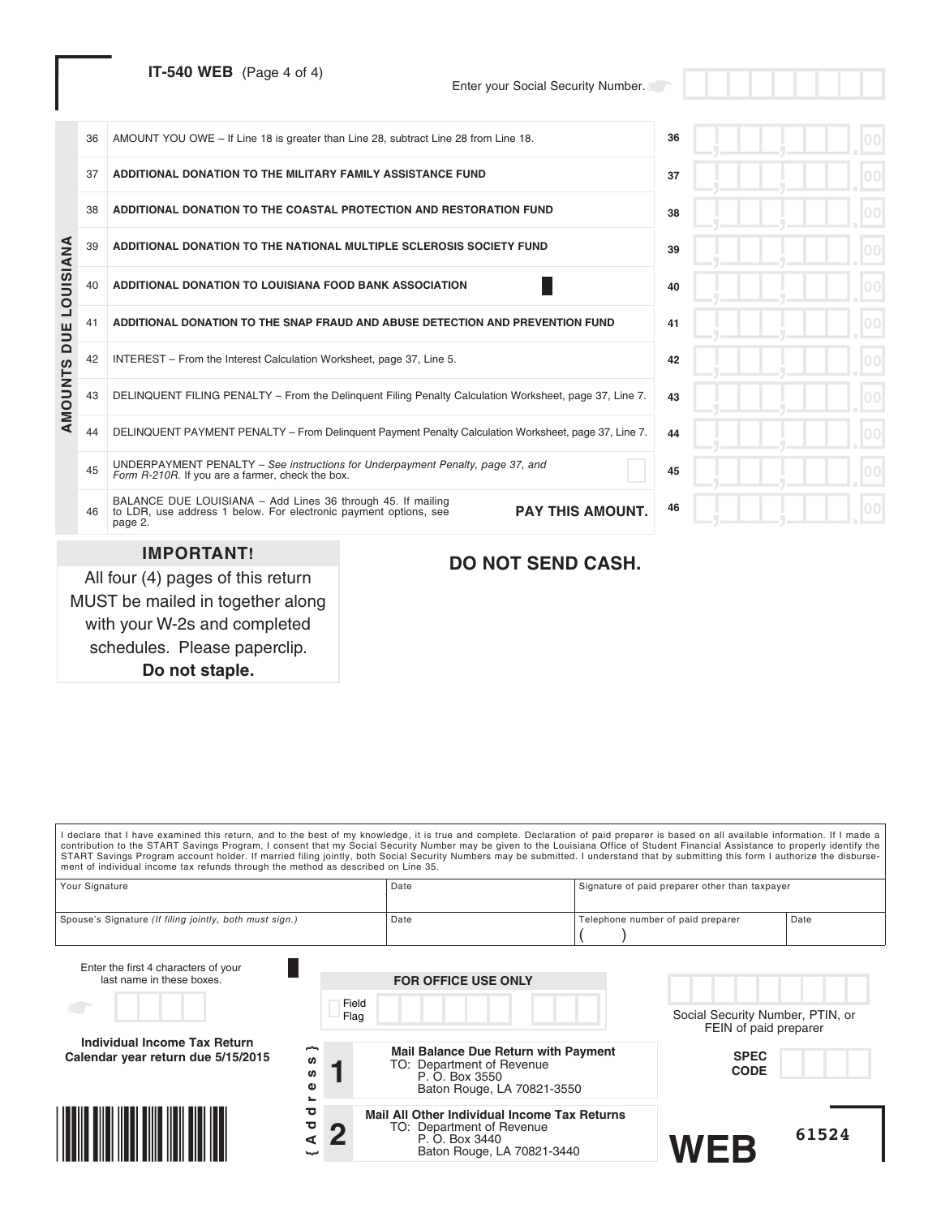**IT-540 WEB** (Page 4 of 4)

Enter your Social Security Number.

|           | 45 | UNDERPAYMENT PENALTY - See instructions for Underpayment Penalty, page 37, and<br>Form R-210R. If you are a farmer, check the box.<br>BALANCE DUE LOUISIANA - Add Lines 36 through 45. If mailing |                                                                                                        | 45 |  |
|-----------|----|---------------------------------------------------------------------------------------------------------------------------------------------------------------------------------------------------|--------------------------------------------------------------------------------------------------------|----|--|
|           | 44 |                                                                                                                                                                                                   | DELINQUENT PAYMENT PENALTY - From Delinguent Payment Penalty Calculation Worksheet, page 37, Line 7.   | 44 |  |
| AMOUNTS   | 43 |                                                                                                                                                                                                   | DELINQUENT FILING PENALTY - From the Delinguent Filing Penalty Calculation Worksheet, page 37, Line 7. | 43 |  |
|           | 42 | INTEREST - From the Interest Calculation Worksheet, page 37, Line 5.                                                                                                                              |                                                                                                        | 42 |  |
| DUE       | 41 |                                                                                                                                                                                                   | ADDITIONAL DONATION TO THE SNAP FRAUD AND ABUSE DETECTION AND PREVENTION FUND                          | 41 |  |
| LOUISIANA | 40 | ADDITIONAL DONATION TO LOUISIANA FOOD BANK ASSOCIATION                                                                                                                                            |                                                                                                        | 40 |  |
|           | 39 | ADDITIONAL DONATION TO THE NATIONAL MULTIPLE SCLEROSIS SOCIETY FUND                                                                                                                               |                                                                                                        | 39 |  |
|           | 38 | ADDITIONAL DONATION TO THE COASTAL PROTECTION AND RESTORATION FUND                                                                                                                                |                                                                                                        | 38 |  |
|           | 37 | ADDITIONAL DONATION TO THE MILITARY FAMILY ASSISTANCE FUND                                                                                                                                        |                                                                                                        | 37 |  |
|           | 36 | AMOUNT YOU OWE – If Line 18 is greater than Line 28, subtract Line 28 from Line 18.                                                                                                               |                                                                                                        | 36 |  |

All four (4) pages of this return MUST be mailed in together along with your W-2s and completed schedules. Please paperclip. **Do not staple.**

# **DO NOT SEND CASH.**

| I declare that I have examined this return, and to the best of my knowledge, it is true and complete. Declaration of paid preparer is based on all available information. If I made a<br>contribution to the START Savings Program, I consent that my Social Security Number may be given to the Louisiana Office of Student Financial Assistance to properly identify the<br>START Savings Program account holder. If married filing jointly, both Social Security Numbers may be submitted. I understand that by submitting this form I authorize the disburse-<br>ment of individual income tax refunds through the method as described on Line 35. |                     |                                             |                                                                            |                                                           |       |
|--------------------------------------------------------------------------------------------------------------------------------------------------------------------------------------------------------------------------------------------------------------------------------------------------------------------------------------------------------------------------------------------------------------------------------------------------------------------------------------------------------------------------------------------------------------------------------------------------------------------------------------------------------|---------------------|---------------------------------------------|----------------------------------------------------------------------------|-----------------------------------------------------------|-------|
| Your Signature                                                                                                                                                                                                                                                                                                                                                                                                                                                                                                                                                                                                                                         |                     | Date                                        |                                                                            | Signature of paid preparer other than taxpayer            |       |
| Spouse's Signature (If filing jointly, both must sign.)                                                                                                                                                                                                                                                                                                                                                                                                                                                                                                                                                                                                |                     | Date                                        |                                                                            | Telephone number of paid preparer                         | Date  |
| Enter the first 4 characters of your<br>last name in these boxes.                                                                                                                                                                                                                                                                                                                                                                                                                                                                                                                                                                                      |                     | <b>FOR OFFICE USE ONLY</b>                  |                                                                            |                                                           |       |
|                                                                                                                                                                                                                                                                                                                                                                                                                                                                                                                                                                                                                                                        | Flag                | Field                                       |                                                                            | Social Security Number, PTIN, or<br>FEIN of paid preparer |       |
| Individual Income Tax Return<br>Calendar year return due 5/15/2015                                                                                                                                                                                                                                                                                                                                                                                                                                                                                                                                                                                     | <b>SD</b><br>w<br>ω | TO: Department of Revenue<br>P. O. Box 3550 | <b>Mail Balance Due Return with Payment</b><br>Baton Rouge, LA 70821-3550  | <b>SPEC</b><br><b>CODE</b>                                |       |
|                                                                                                                                                                                                                                                                                                                                                                                                                                                                                                                                                                                                                                                        | ਠ<br>ᅙ              | TO: Department of Revenue<br>P. O. Box 3440 | Mail All Other Individual Income Tax Returns<br>Baton Rouge, LA 70821-3440 |                                                           | 61524 |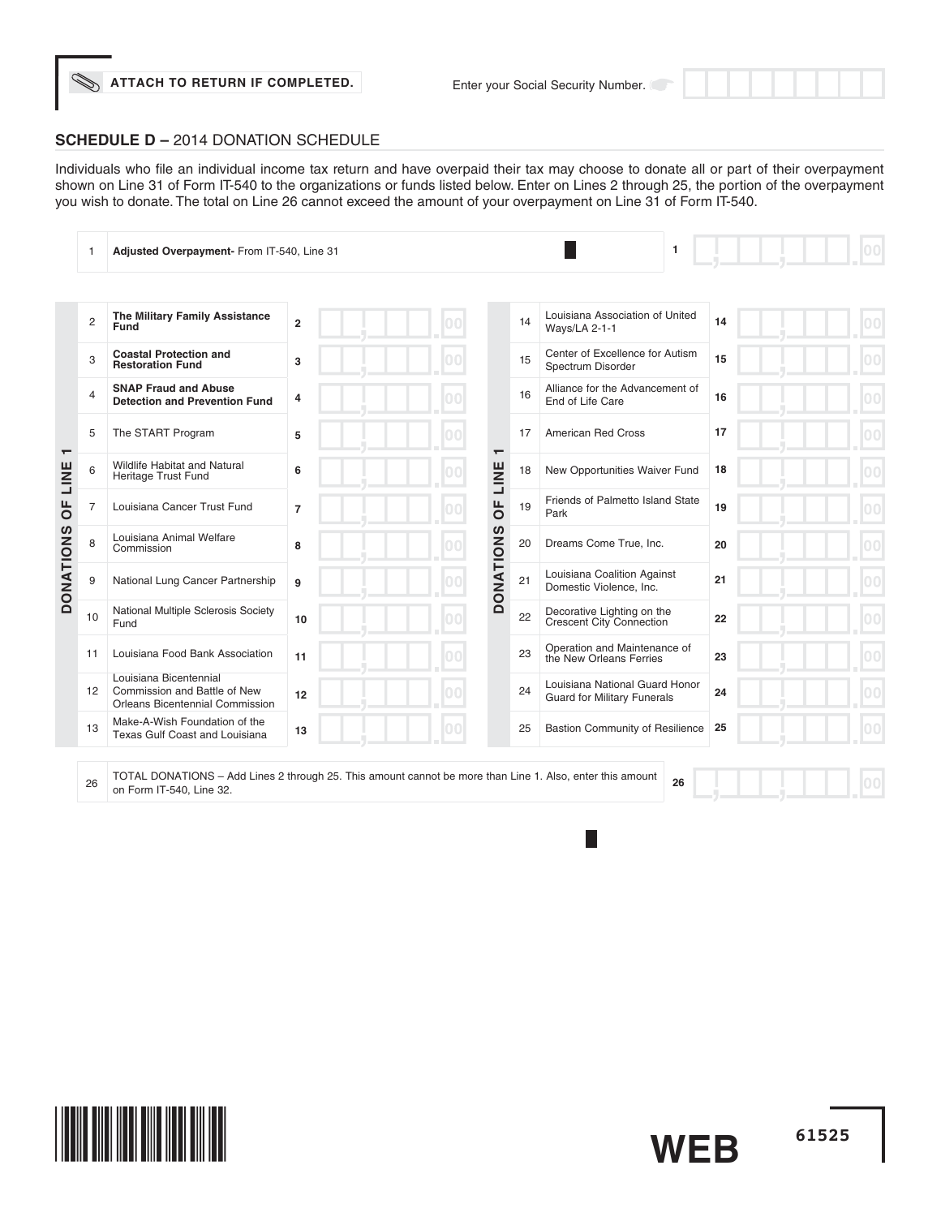### **SCHEDULE D –** 2014 DONATION SCHEDULE

Individuals who file an individual income tax return and have overpaid their tax may choose to donate all or part of their overpayment shown on Line 31 of Form IT-540 to the organizations or funds listed below. Enter on Lines 2 through 25, the portion of the overpayment you wish to donate. The total on Line 26 cannot exceed the amount of your overpayment on Line 31 of Form IT-540.

|                          | 1              | Adjusted Overpayment- From IT-540, Line 31                                                                |                |                              |    | 1                                                                    |    |  |
|--------------------------|----------------|-----------------------------------------------------------------------------------------------------------|----------------|------------------------------|----|----------------------------------------------------------------------|----|--|
|                          |                |                                                                                                           |                |                              |    |                                                                      |    |  |
|                          | $\overline{c}$ | The Military Family Assistance<br>Fund                                                                    | $\overline{2}$ |                              | 14 | Louisiana Association of United<br><b>Ways/LA 2-1-1</b>              | 14 |  |
|                          | 3              | <b>Coastal Protection and</b><br><b>Restoration Fund</b>                                                  | 3              |                              | 15 | Center of Excellence for Autism<br>Spectrum Disorder                 | 15 |  |
|                          | 4              | <b>SNAP Fraud and Abuse</b><br><b>Detection and Prevention Fund</b>                                       | 4              |                              | 16 | Alliance for the Advancement of<br>End of Life Care                  | 16 |  |
| $\overline{\phantom{0}}$ | 5              | The START Program                                                                                         | 5              | ᠇                            | 17 | <b>American Red Cross</b>                                            | 17 |  |
| LINE                     | 6              | Wildlife Habitat and Natural<br>Heritage Trust Fund                                                       | 6              | LINE                         | 18 | New Opportunities Waiver Fund                                        | 18 |  |
| $\overline{0}$           | $\overline{7}$ | Louisiana Cancer Trust Fund                                                                               | $\overline{7}$ | Щ<br>$\overline{\mathsf{o}}$ | 19 | Friends of Palmetto Island State<br>Park                             | 19 |  |
|                          | 8              | Louisiana Animal Welfare<br>Commission                                                                    | 8              |                              | 20 | Dreams Come True, Inc.                                               | 20 |  |
| <b>DONATIONS</b>         | 9              | National Lung Cancer Partnership                                                                          | 9              | ONATIONS                     | 21 | Louisiana Coalition Against<br>Domestic Violence, Inc.               | 21 |  |
|                          | 10             | National Multiple Sclerosis Society<br>Fund                                                               | 10             | $\Box$                       | 22 | Decorative Lighting on the<br>Crescent City Connection               | 22 |  |
|                          | 11             | Louisiana Food Bank Association                                                                           | 11             |                              | 23 | Operation and Maintenance of<br>the New Orleans Ferries              | 23 |  |
|                          | 12             | Louisiana Bicentennial<br>Commission and Battle of New<br><b>Orleans Bicentennial Commission</b>          | 12             |                              | 24 | Louisiana National Guard Honor<br><b>Guard for Military Funerals</b> | 24 |  |
|                          | 13             | Make-A-Wish Foundation of the<br>Texas Gulf Coast and Louisiana                                           | 13             |                              | 25 | <b>Bastion Community of Resilience</b>                               | 25 |  |
|                          |                | TOTAL DONATIONS - Add Lines 2 through 25. This amount cannot be more than Line 1. Also, enter this amount |                |                              |    |                                                                      |    |  |
|                          | 26             | on Form IT-540, Line 32.                                                                                  |                |                              |    | 26                                                                   |    |  |

**WEB**

F.

**61525**

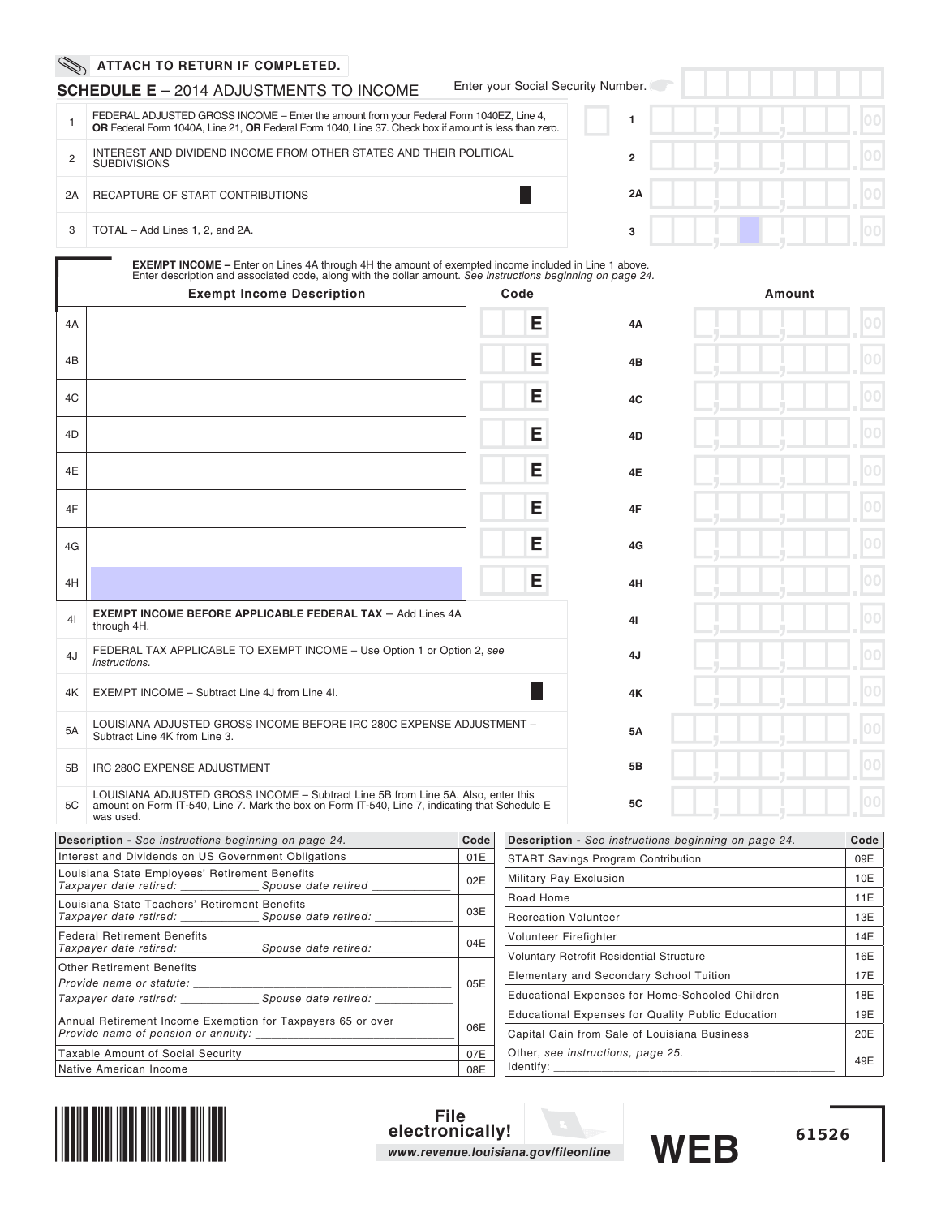|    | <b>SCHEDULE E – 2014 ADJUSTMENTS TO INCOME</b>                                                                                                                                                                             | Enter your Social Security Number. |           |
|----|----------------------------------------------------------------------------------------------------------------------------------------------------------------------------------------------------------------------------|------------------------------------|-----------|
|    | FEDERAL ADJUSTED GROSS INCOME - Enter the amount from your Federal Form 1040EZ, Line 4,<br><b>OR</b> Federal Form 1040A, Line 21, OR Federal Form 1040, Line 37. Check box if amount is less than zero.                    |                                    |           |
|    | INTEREST AND DIVIDEND INCOME FROM OTHER STATES AND THEIR POLITICAL<br><b>SUBDIVISIONS</b>                                                                                                                                  | $\overline{2}$                     |           |
| 2A | RECAPTURE OF START CONTRIBUTIONS                                                                                                                                                                                           | 2A                                 |           |
|    | TOTAL - Add Lines 1, 2, and 2A.                                                                                                                                                                                            | 3                                  |           |
|    | <b>EXEMPT INCOME</b> – Enter on Lines 4A through 4H the amount of exempted income included in Line 1 above.<br>Enter description and associated code, along with the dollar amount. See instructions beginning on page 24. |                                    |           |
|    | Evampt Incama Decaription                                                                                                                                                                                                  | Code                               | $A$ mount |

|                | <b>Exempt Income Description</b>                                                                                                                                                                 | Code |            | Amount |
|----------------|--------------------------------------------------------------------------------------------------------------------------------------------------------------------------------------------------|------|------------|--------|
| 4A             |                                                                                                                                                                                                  | Е    | 4A         | 00     |
| 4B             |                                                                                                                                                                                                  | Е    | 4B         | 00     |
| 4C             |                                                                                                                                                                                                  | E    | 4C         | 00     |
| 4D             |                                                                                                                                                                                                  | Е    | 4D         | 00     |
| 4E             |                                                                                                                                                                                                  | Е    | 4E         | 00     |
| 4F             |                                                                                                                                                                                                  | Е    | 4F         | 00     |
| 4G             |                                                                                                                                                                                                  | E    | 4G         | 00     |
| 4H             |                                                                                                                                                                                                  | E    | 4H         | 00     |
| 4 <sub>1</sub> | <b>EXEMPT INCOME BEFORE APPLICABLE FEDERAL TAX - Add Lines 4A</b><br>through 4H.                                                                                                                 |      | 41         | 00     |
| 4J             | FEDERAL TAX APPLICABLE TO EXEMPT INCOME - Use Option 1 or Option 2, see<br>instructions.                                                                                                         |      | 4J         | 00     |
| 4K             | EXEMPT INCOME - Subtract Line 4J from Line 4I.                                                                                                                                                   |      | 4K         | 00     |
| 5A             | LOUISIANA ADJUSTED GROSS INCOME BEFORE IRC 280C EXPENSE ADJUSTMENT -<br>Subtract Line 4K from Line 3.                                                                                            |      | <b>5A</b>  | 00     |
| 5B             | IRC 280C EXPENSE ADJUSTMENT                                                                                                                                                                      |      | 5 <b>B</b> | 00     |
| 5C             | LOUISIANA ADJUSTED GROSS INCOME - Subtract Line 5B from Line 5A. Also, enter this<br>amount on Form IT-540, Line 7. Mark the box on Form IT-540, Line 7, indicating that Schedule E<br>was used. |      | <b>5C</b>  | 00     |

| <b>Description</b> - See instructions beginning on page 24.                                                           | Code |
|-----------------------------------------------------------------------------------------------------------------------|------|
| Interest and Dividends on US Government Obligations                                                                   | 01E  |
| Louisiana State Employees' Retirement Benefits                                                                        | 02E  |
| Louisiana State Teachers' Retirement Benefits<br>Taxpayer date retired: _______________ Spouse date retired: ________ | 03E  |
| <b>Federal Retirement Benefits</b><br>Taxpayer date retired: Spouse date retired:                                     | 04E  |
| <b>Other Retirement Benefits</b><br>Provide name or statute:                                                          | 05E  |
| Annual Retirement Income Exemption for Taxpayers 65 or over                                                           | 06E  |
| Taxable Amount of Social Security                                                                                     | 07E  |
| Native American Income                                                                                                | 08E  |

| <b>Description</b> - See instructions beginning on page 24. | Code |
|-------------------------------------------------------------|------|
| <b>START Savings Program Contribution</b>                   | 09E  |
| <b>Military Pay Exclusion</b>                               | 10E  |
| Road Home                                                   | 11E  |
| <b>Recreation Volunteer</b>                                 | 13E  |
| Volunteer Firefighter                                       | 14E  |
| <b>Voluntary Retrofit Residential Structure</b>             | 16E  |
| Elementary and Secondary School Tuition                     | 17E  |
| Educational Expenses for Home-Schooled Children             | 18E  |
| <b>Educational Expenses for Quality Public Education</b>    | 19E  |
| Capital Gain from Sale of Louisiana Business                | 20E  |
| Other, see instructions, page 25.<br>Identify:              | 49E  |



**File electronically!** *www.revenue.louisiana.gov/fileonline*

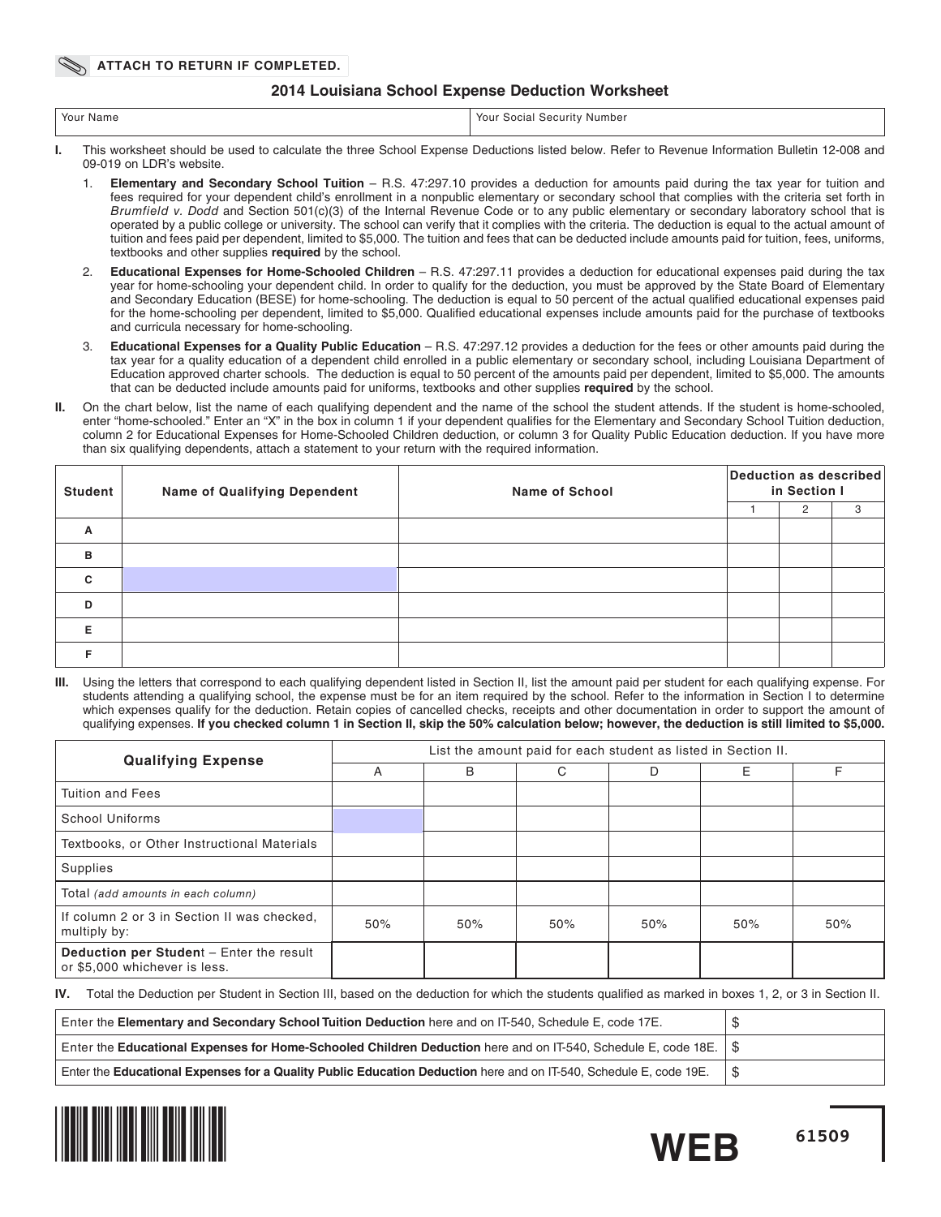## **2014 Louisiana School Expense Deduction Worksheet**

|  | Your Name | YOUI<br>' Security Number<br>Social<br>$\sim$ $\sim$ $\sim$ |
|--|-----------|-------------------------------------------------------------|
|--|-----------|-------------------------------------------------------------|

- **I.** This worksheet should be used to calculate the three School Expense Deductions listed below. Refer to Revenue Information Bulletin 12-008 and 09-019 on LDR's website.
	- 1. **Elementary and Secondary School Tuition** R.S. 47:297.10 provides a deduction for amounts paid during the tax year for tuition and fees required for your dependent child's enrollment in a nonpublic elementary or secondary school that complies with the criteria set forth in Brumfield v. Dodd and Section 501(c)(3) of the Internal Revenue Code or to any public elementary or secondary laboratory school that is operated by a public college or university. The school can verify that it complies with the criteria. The deduction is equal to the actual amount of tuition and fees paid per dependent, limited to \$5,000. The tuition and fees that can be deducted include amounts paid for tuition, fees, uniforms, textbooks and other supplies **required** by the school.
	- 2. **Educational Expenses for Home-Schooled Children** R.S. 47:297.11 provides a deduction for educational expenses paid during the tax year for home-schooling your dependent child. In order to qualify for the deduction, you must be approved by the State Board of Elementary and Secondary Education (BESE) for home-schooling. The deduction is equal to 50 percent of the actual qualified educational expenses paid for the home-schooling per dependent, limited to \$5,000. Qualified educational expenses include amounts paid for the purchase of textbooks and curricula necessary for home-schooling.
	- 3. **Educational Expenses for a Quality Public Education** R.S. 47:297.12 provides a deduction for the fees or other amounts paid during the tax year for a quality education of a dependent child enrolled in a public elementary or secondary school, including Louisiana Department of Education approved charter schools. The deduction is equal to 50 percent of the amounts paid per dependent, limited to \$5,000. The amounts that can be deducted include amounts paid for uniforms, textbooks and other supplies **required** by the school.
- **II.** On the chart below, list the name of each qualifying dependent and the name of the school the student attends. If the student is home-schooled, enter "home-schooled." Enter an "X" in the box in column 1 if your dependent qualifies for the Elementary and Secondary School Tuition deduction, column 2 for Educational Expenses for Home-Schooled Children deduction, or column 3 for Quality Public Education deduction. If you have more than six qualifying dependents, attach a statement to your return with the required information.

| <b>Student</b> | <b>Name of Qualifying Dependent</b> | <b>Name of School</b> | Deduction as described<br>in Section I |   |   |  |
|----------------|-------------------------------------|-----------------------|----------------------------------------|---|---|--|
|                |                                     |                       |                                        | 2 | 3 |  |
| Α              |                                     |                       |                                        |   |   |  |
| B              |                                     |                       |                                        |   |   |  |
| C              |                                     |                       |                                        |   |   |  |
| D              |                                     |                       |                                        |   |   |  |
| Е              |                                     |                       |                                        |   |   |  |
|                |                                     |                       |                                        |   |   |  |

**III.** Using the letters that correspond to each qualifying dependent listed in Section II, list the amount paid per student for each qualifying expense. For students attending a qualifying school, the expense must be for an item required by the school. Refer to the information in Section I to determine which expenses qualify for the deduction. Retain copies of cancelled checks, receipts and other documentation in order to support the amount of qualifying expenses. **If you checked column 1 in Section II, skip the 50% calculation below; however, the deduction is still limited to \$5,000.**

| <b>Qualifying Expense</b>                                                 | List the amount paid for each student as listed in Section II. |     |     |     |     |     |  |  |
|---------------------------------------------------------------------------|----------------------------------------------------------------|-----|-----|-----|-----|-----|--|--|
|                                                                           | A                                                              | B   | C   | D   | E   |     |  |  |
| Tuition and Fees                                                          |                                                                |     |     |     |     |     |  |  |
| <b>School Uniforms</b>                                                    |                                                                |     |     |     |     |     |  |  |
| Textbooks, or Other Instructional Materials                               |                                                                |     |     |     |     |     |  |  |
| Supplies                                                                  |                                                                |     |     |     |     |     |  |  |
| Total (add amounts in each column)                                        |                                                                |     |     |     |     |     |  |  |
| If column 2 or 3 in Section II was checked,<br>multiply by:               | 50%                                                            | 50% | 50% | 50% | 50% | 50% |  |  |
| Deduction per Student - Enter the result<br>or \$5,000 whichever is less. |                                                                |     |     |     |     |     |  |  |

**IV.** Total the Deduction per Student in Section III, based on the deduction for which the students qualified as marked in boxes 1, 2, or 3 in Section II.

| Enter the Elementary and Secondary School Tuition Deduction here and on IT-540, Schedule E, code 17E.                       |  |
|-----------------------------------------------------------------------------------------------------------------------------|--|
| Enter the Educational Expenses for Home-Schooled Children Deduction here and on IT-540, Schedule E, code 18E. $\frac{1}{5}$ |  |
| Enter the Educational Expenses for a Quality Public Education Deduction here and on IT-540, Schedule E, code 19E.           |  |



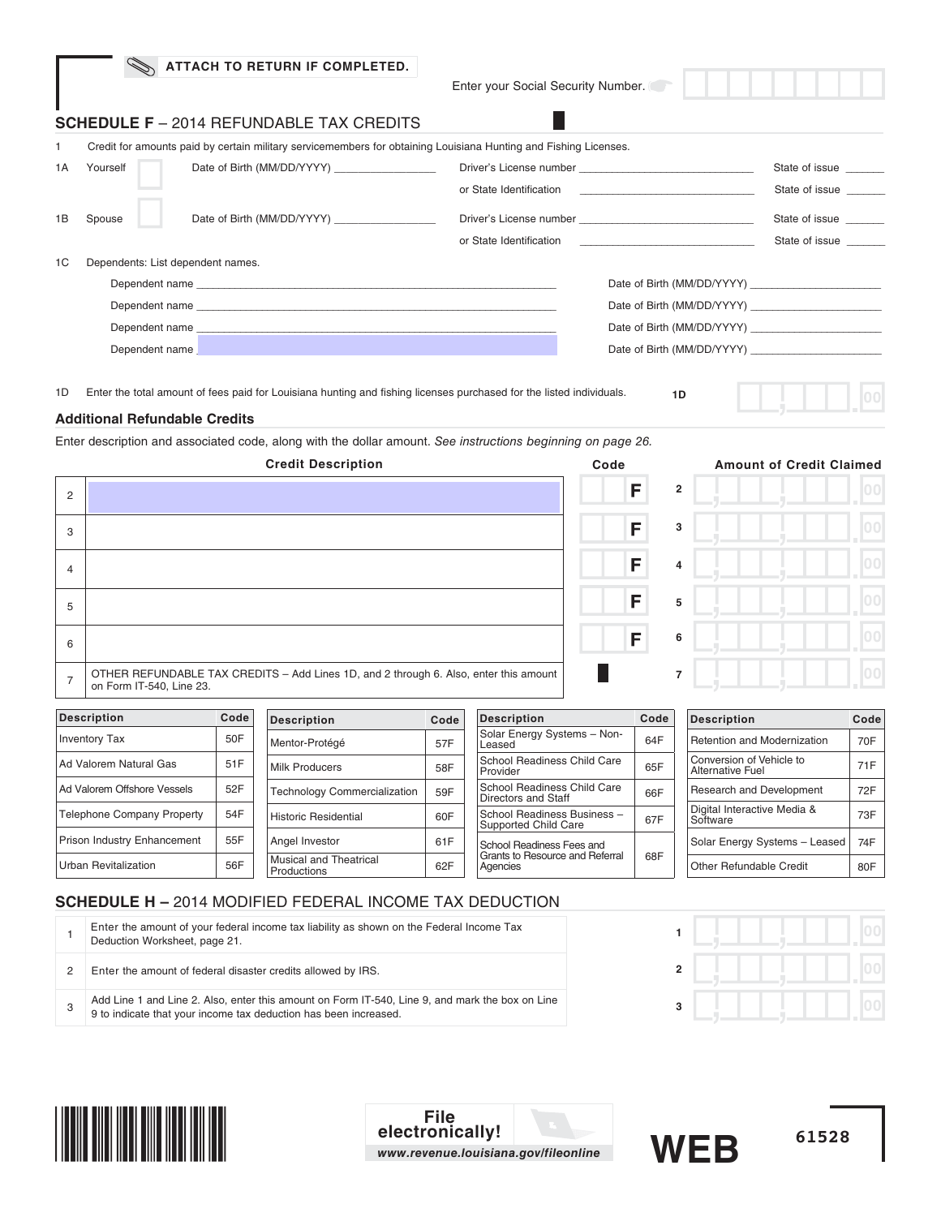| Yourself |                                                                                                                                          |                                                                                                                                                                                                                                                                                                         | State of issue                                                                                                                                                                                                                                                                                                                                                                                                         |
|----------|------------------------------------------------------------------------------------------------------------------------------------------|---------------------------------------------------------------------------------------------------------------------------------------------------------------------------------------------------------------------------------------------------------------------------------------------------------|------------------------------------------------------------------------------------------------------------------------------------------------------------------------------------------------------------------------------------------------------------------------------------------------------------------------------------------------------------------------------------------------------------------------|
|          |                                                                                                                                          |                                                                                                                                                                                                                                                                                                         | State of issue                                                                                                                                                                                                                                                                                                                                                                                                         |
| Spouse   |                                                                                                                                          |                                                                                                                                                                                                                                                                                                         | State of issue<br>State of issue                                                                                                                                                                                                                                                                                                                                                                                       |
|          |                                                                                                                                          |                                                                                                                                                                                                                                                                                                         |                                                                                                                                                                                                                                                                                                                                                                                                                        |
|          |                                                                                                                                          |                                                                                                                                                                                                                                                                                                         |                                                                                                                                                                                                                                                                                                                                                                                                                        |
|          |                                                                                                                                          |                                                                                                                                                                                                                                                                                                         |                                                                                                                                                                                                                                                                                                                                                                                                                        |
|          |                                                                                                                                          |                                                                                                                                                                                                                                                                                                         |                                                                                                                                                                                                                                                                                                                                                                                                                        |
|          |                                                                                                                                          |                                                                                                                                                                                                                                                                                                         |                                                                                                                                                                                                                                                                                                                                                                                                                        |
|          | ATTACH TO RETURN IF COMPLETED.<br><b>SCHEDULE F</b> – 2014 REFUNDABLE TAX CREDITS<br>Dependents: List dependent names.<br>Dependent name | Date of Birth (MM/DD/YYYY)<br>Dependent name experience and the contract of the contract of the contract of the contract of the contract of the contract of the contract of the contract of the contract of the contract of the contract of the contract of<br>Dependent name<br><b>Service Service</b> | Enter your Social Security Number.<br>Credit for amounts paid by certain military servicemembers for obtaining Louisiana Hunting and Fishing Licenses.<br>or State Identification and the state of the state of the state of the state of the state of the state of the state of the state of the state of the state of the state of the state of the state of the state of the state of<br>Date of Birth (MM/DD/YYYY) |

1D Enter the total amount of fees paid for Louisiana hunting and fishing licenses purchased for the listed individuals.

**1D**



### **Additional Refundable Credits**

Enter description and associated code, along with the dollar amount. See instructions beginning on page 26.

|                | <b>Credit Description</b>                                                                                         | Code |                | <b>Amount of Credit Claimed</b> |
|----------------|-------------------------------------------------------------------------------------------------------------------|------|----------------|---------------------------------|
| $\overline{2}$ |                                                                                                                   | F    | $\overline{2}$ |                                 |
| 3              |                                                                                                                   | F    | 3              |                                 |
| $\overline{4}$ |                                                                                                                   | F    | $\overline{4}$ |                                 |
| 5              |                                                                                                                   | F    | 5              |                                 |
| 6              |                                                                                                                   | F    | 6              |                                 |
| $\overline{7}$ | OTHER REFUNDABLE TAX CREDITS - Add Lines 1D, and 2 through 6. Also, enter this amount<br>on Form IT-540, Line 23. |      | $\overline{7}$ |                                 |

| on Form IT-540, Line 23.          |      |                                              |      |                                                     |      |                                                     | .    |
|-----------------------------------|------|----------------------------------------------|------|-----------------------------------------------------|------|-----------------------------------------------------|------|
| <b>Description</b>                | Code | <b>Description</b>                           | Code | <b>Description</b>                                  | Code | <b>Description</b>                                  | Code |
| <b>Inventory Tax</b>              | 50F  | Mentor-Protégé                               | 57F  | Solar Energy Systems - Non-<br>Leased               | 64F  | Retention and Modernization                         | 70F  |
| Ad Valorem Natural Gas            | 51F  | <b>Milk Producers</b>                        | 58F  | School Readiness Child Care<br>Provider             | 65F  | Conversion of Vehicle to<br><b>Alternative Fuel</b> | 71F  |
| Ad Valorem Offshore Vessels       | 52F  | <b>Technology Commercialization</b>          | 59F  | School Readiness Child Care<br>Directors and Staff  | 66F  | <b>Research and Development</b>                     | 72F  |
| <b>Telephone Company Property</b> | 54F  | <b>Historic Residential</b>                  | 60F  | School Readiness Business -<br>Supported Child Care | 67F  | Digital Interactive Media &<br>Software             | 73F  |
| Prison Industry Enhancement       | 55F  | Angel Investor                               | 61F  | School Readiness Fees and                           |      | Solar Energy Systems - Leased                       | 74F  |
| <b>Urban Revitalization</b>       | 56F  | <b>Musical and Theatrical</b><br>Productions | 62F  | Grants to Resource and Referral<br>Agencies         | 68F  | Other Refundable Credit                             | 80F  |

# **SCHEDULE H –** 2014 MODIFIED FEDERAL INCOME TAX DEDUCTION

|  | Enter the amount of your federal income tax liability as shown on the Federal Income Tax<br>Deduction Worksheet, page 21.                                           |  |  |
|--|---------------------------------------------------------------------------------------------------------------------------------------------------------------------|--|--|
|  | Enter the amount of federal disaster credits allowed by IRS.                                                                                                        |  |  |
|  | Add Line 1 and Line 2. Also, enter this amount on Form IT-540, Line 9, and mark the box on Line<br>9 to indicate that your income tax deduction has been increased. |  |  |
|  |                                                                                                                                                                     |  |  |



**File electronically!** *www.revenue.louisiana.gov/fileonline*



**61528**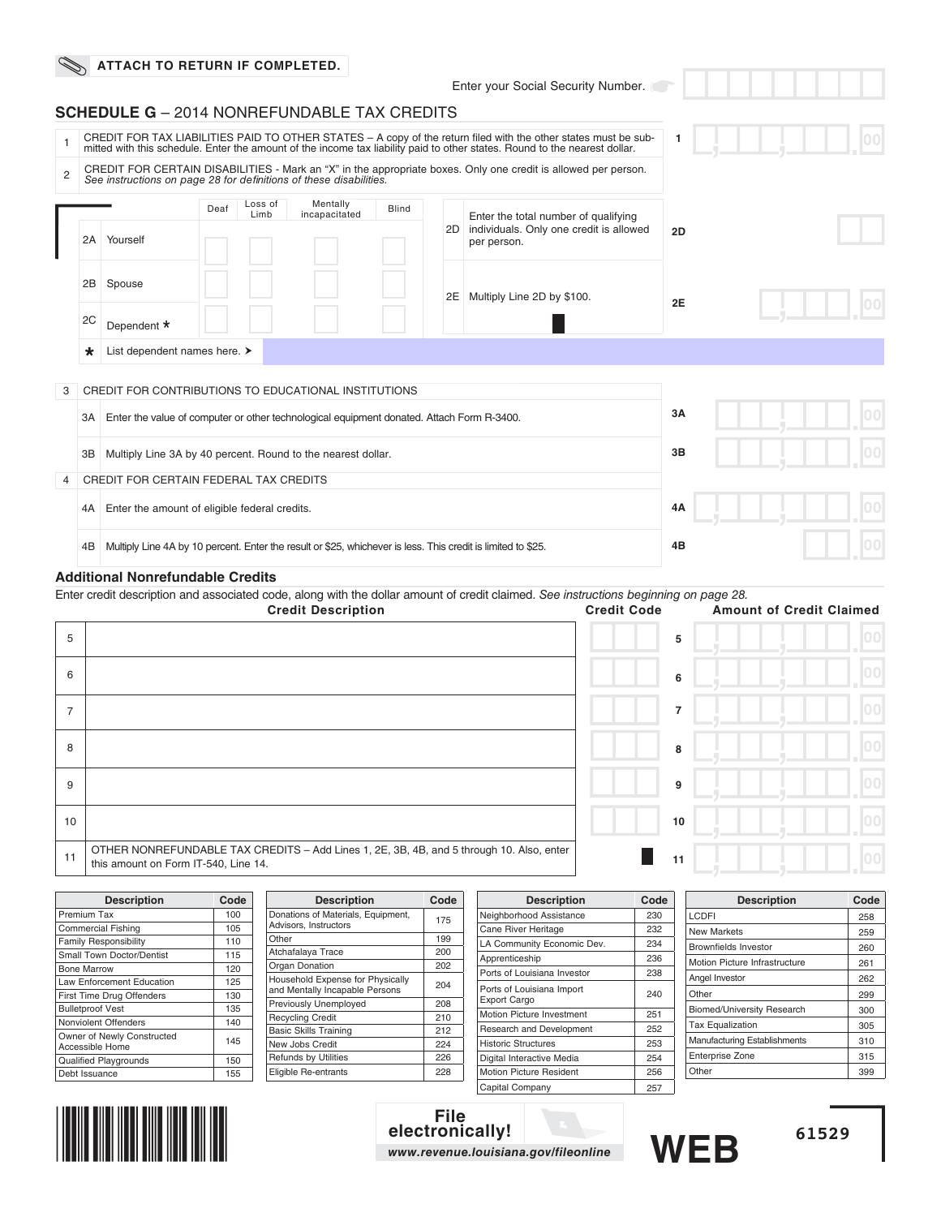|                |         | ATTACH TO RETURN IF COMPLETED.                                                            |      |                 |                                                                                                              |              |    |                                                                                                                                                                                                                                               |    |     |
|----------------|---------|-------------------------------------------------------------------------------------------|------|-----------------|--------------------------------------------------------------------------------------------------------------|--------------|----|-----------------------------------------------------------------------------------------------------------------------------------------------------------------------------------------------------------------------------------------------|----|-----|
|                |         |                                                                                           |      |                 |                                                                                                              |              |    | Enter your Social Security Number.                                                                                                                                                                                                            |    |     |
|                |         | <b>SCHEDULE G</b> - 2014 NONREFUNDABLE TAX CREDITS                                        |      |                 |                                                                                                              |              |    |                                                                                                                                                                                                                                               |    |     |
| $\overline{1}$ |         |                                                                                           |      |                 |                                                                                                              |              |    | CREDIT FOR TAX LIABILITIES PAID TO OTHER STATES - A copy of the return filed with the other states must be sub-<br>mitted with this schedule. Enter the amount of the income tax liability paid to other states. Round to the nearest dollar. | 1  |     |
| $\overline{2}$ |         | See instructions on page 28 for definitions of these disabilities.                        |      |                 |                                                                                                              |              |    | CREDIT FOR CERTAIN DISABILITIES - Mark an "X" in the appropriate boxes. Only one credit is allowed per person.                                                                                                                                |    |     |
|                |         |                                                                                           | Deaf | Loss of<br>Limb | Mentally<br>incapacitated                                                                                    | <b>Blind</b> | 2D | Enter the total number of qualifying<br>individuals. Only one credit is allowed                                                                                                                                                               | 2D |     |
|                | 2A      | Yourself                                                                                  |      |                 |                                                                                                              |              |    | per person.                                                                                                                                                                                                                                   |    |     |
|                | 2B      | Spouse                                                                                    |      |                 |                                                                                                              |              | 2E | Multiply Line 2D by \$100.                                                                                                                                                                                                                    | 2E |     |
|                | 2C      | Dependent *                                                                               |      |                 |                                                                                                              |              |    |                                                                                                                                                                                                                                               |    |     |
|                | $\star$ | List dependent names here. >                                                              |      |                 |                                                                                                              |              |    |                                                                                                                                                                                                                                               |    |     |
| 3              |         | CREDIT FOR CONTRIBUTIONS TO EDUCATIONAL INSTITUTIONS                                      |      |                 |                                                                                                              |              |    |                                                                                                                                                                                                                                               |    |     |
|                | 3A I    | Enter the value of computer or other technological equipment donated. Attach Form R-3400. |      |                 |                                                                                                              |              |    |                                                                                                                                                                                                                                               | 3A |     |
|                | ЗB      | Multiply Line 3A by 40 percent. Round to the nearest dollar.                              |      |                 |                                                                                                              |              |    |                                                                                                                                                                                                                                               | 3B |     |
| 4              |         | <b>CREDIT FOR CERTAIN FEDERAL TAX CREDITS</b>                                             |      |                 |                                                                                                              |              |    |                                                                                                                                                                                                                                               |    |     |
|                | 4A      | Enter the amount of eligible federal credits.                                             |      |                 |                                                                                                              |              |    |                                                                                                                                                                                                                                               | 4A | 100 |
|                | 4B      |                                                                                           |      |                 | Multiply Line 4A by 10 percent. Enter the result or \$25, whichever is less. This credit is limited to \$25. |              |    |                                                                                                                                                                                                                                               | 4B |     |
|                |         | <b>Additional Nonrefundable Credits</b>                                                   |      |                 |                                                                                                              |              |    |                                                                                                                                                                                                                                               |    |     |

Enter credit description and associated code, along with the dollar amount of credit claimed. See instructions beginning on page 28.

|                | Like broak accompani and accounted code, along with the dollar amount of credit claimed. Oce motioners beginning on page Lo.<br><b>Credit Description</b> | <b>Credit Code</b> | <b>Amount of Credit Claimed</b> |
|----------------|-----------------------------------------------------------------------------------------------------------------------------------------------------------|--------------------|---------------------------------|
| 5              |                                                                                                                                                           | 5                  |                                 |
| 6              |                                                                                                                                                           | 6                  |                                 |
| $\overline{7}$ |                                                                                                                                                           | $\overline{7}$     |                                 |
| 8              |                                                                                                                                                           | 8                  |                                 |
| 9              |                                                                                                                                                           | 9                  |                                 |
| 10             |                                                                                                                                                           | 10                 |                                 |
| 11             | OTHER NONREFUNDABLE TAX CREDITS - Add Lines 1, 2E, 3B, 4B, and 5 through 10. Also, enter<br>this amount on Form IT-540, Line 14.                          | 11                 | nnl                             |

| <b>Description</b>           | Code | <b>Description</b>                                                                 | Code | <b>Description</b>             | Code | <b>Description</b>                | Code |
|------------------------------|------|------------------------------------------------------------------------------------|------|--------------------------------|------|-----------------------------------|------|
| Premium Tax                  | 100  | Donations of Materials, Equipment,                                                 | 175  | Neighborhood Assistance        | 230  | LCDFI                             | 258  |
| <b>Commercial Fishing</b>    | 105  | Advisors, Instructors                                                              |      | Cane River Heritage            | 232  | New Markets                       | 259  |
| <b>Family Responsibility</b> | 110  | Other                                                                              | 199  | LA Community Economic Dev.     | 234  | <b>Brownfields Investor</b>       | 260  |
| Small Town Doctor/Dentist    | 115  | Atchafalaya Trace                                                                  | 200  | Apprenticeship                 | 236  |                                   |      |
| <b>Bone Marrow</b>           | 120  | <b>Organ Donation</b>                                                              | 202  | Ports of Louisiana Investor    | 238  | Motion Picture Infrastructure     | 261  |
| Law Enforcement Education    | 125  | Household Expense for Physically                                                   | 204  |                                |      | Angel Investor                    | 262  |
| First Time Drug Offenders    | 130  | Ports of Louisiana Import<br>and Mentally Incapable Persons<br><b>Export Cargo</b> | 240  | Other                          | 299  |                                   |      |
| <b>Bulletproof Vest</b>      | 135  | Previously Unemployed                                                              | 208  | Motion Picture Investment      | 251  | <b>Biomed/University Research</b> | 300  |
| Nonviolent Offenders         | 140  | <b>Recycling Credit</b>                                                            | 210  |                                |      | <b>Tax Equalization</b>           | 305  |
| Owner of Newly Constructed   |      | <b>Basic Skills Training</b>                                                       | 212  | Research and Development       | 252  | Manufacturing Establishments      |      |
| Accessible Home              | 145  | New Jobs Credit                                                                    | 224  | <b>Historic Structures</b>     | 253  |                                   | 310  |
| <b>Qualified Playgrounds</b> | 150  | <b>Refunds by Utilities</b>                                                        | 226  | Digital Interactive Media      | 254  | Enterprise Zone                   | 315  |
| Debt Issuance                | 155  | Eligible Re-entrants                                                               | 228  | <b>Motion Picture Resident</b> | 256  | Other                             | 399  |
|                              |      |                                                                                    |      | Capital Company                | 257  |                                   |      |



**File electronically!** *www.revenue.louisiana.gov/fileonline*

**WEB**

**61529**

**Description Code**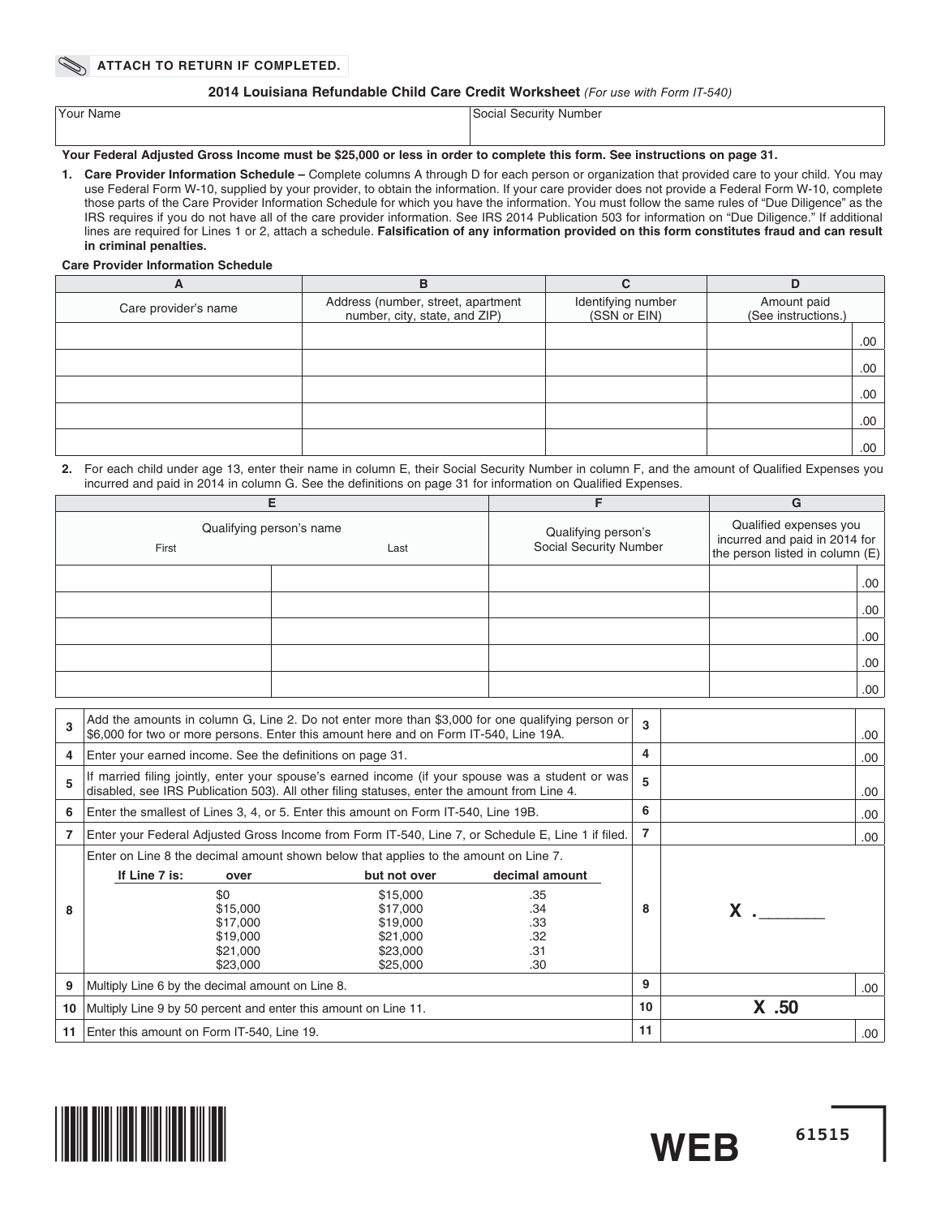#### **2014 Louisiana Refundable Child Care Credit Worksheet** (For use with Form IT-540)

| Your Name | Social<br>SACULTIN<br>' Number<br>www |
|-----------|---------------------------------------|
|           |                                       |

### **Your Federal Adjusted Gross Income must be \$25,000 or less in order to complete this form. See instructions on page 31.**

**1. Care Provider Information Schedule –** Complete columns A through D for each person or organization that provided care to your child. You may use Federal Form W-10, supplied by your provider, to obtain the information. If your care provider does not provide a Federal Form W-10, complete those parts of the Care Provider Information Schedule for which you have the information. You must follow the same rules of "Due Diligence" as the IRS requires if you do not have all of the care provider information. See IRS 2014 Publication 503 for information on "Due Diligence." If additional lines are required for Lines 1 or 2, attach a schedule. Falsification of any information provided on this form constitutes fraud and can result **in criminal penalties.**

#### **Care Provider Information Schedule**

| A                    | в                                                                   | C                                  | D                                  |
|----------------------|---------------------------------------------------------------------|------------------------------------|------------------------------------|
| Care provider's name | Address (number, street, apartment<br>number, city, state, and ZIP) | Identifying number<br>(SSN or EIN) | Amount paid<br>(See instructions.) |
|                      |                                                                     |                                    | .00                                |
|                      |                                                                     |                                    | .00.                               |
|                      |                                                                     |                                    | .00.                               |
|                      |                                                                     |                                    | .00.                               |
|                      |                                                                     |                                    | .00.                               |

#### 2. For each child under age 13, enter their name in column E, their Social Security Number in column F, and the amount of Qualified Expenses you incurred and paid in 2014 in column G. See the definitions on page 31 for information on Qualified Expenses.

|                                           |  |                                               | G                                                                                          |  |
|-------------------------------------------|--|-----------------------------------------------|--------------------------------------------------------------------------------------------|--|
| Qualifying person's name<br>First<br>Last |  | Qualifying person's<br>Social Security Number | Qualified expenses you<br>incurred and paid in 2014 for<br>the person listed in column (E) |  |
|                                           |  |                                               | .00                                                                                        |  |
|                                           |  |                                               | .00                                                                                        |  |
|                                           |  |                                               | .00                                                                                        |  |
|                                           |  |                                               | .00                                                                                        |  |
|                                           |  |                                               | .00.                                                                                       |  |

| 3  | Add the amounts in column G, Line 2. Do not enter more than \$3,000 for one qualifying person or<br>\$6,000 for two or more persons. Enter this amount here and on Form IT-540, Line 19A.         |                                                                                      |                                                          |    |       | .00. |
|----|---------------------------------------------------------------------------------------------------------------------------------------------------------------------------------------------------|--------------------------------------------------------------------------------------|----------------------------------------------------------|----|-------|------|
| 4  | Enter your earned income. See the definitions on page 31.                                                                                                                                         |                                                                                      |                                                          | 4  |       | .00  |
| 5  | If married filing jointly, enter your spouse's earned income (if your spouse was a student or was<br>disabled, see IRS Publication 503). All other filing statuses, enter the amount from Line 4. |                                                                                      |                                                          | 5  |       | .00. |
| 6  | Enter the smallest of Lines 3, 4, or 5. Enter this amount on Form IT-540, Line 19B.                                                                                                               |                                                                                      |                                                          | 6  |       | .00  |
|    | Enter your Federal Adjusted Gross Income from Form IT-540, Line 7, or Schedule E, Line 1 if filed.                                                                                                |                                                                                      |                                                          | 7  |       | .00  |
| 8  | Enter on Line 8 the decimal amount shown below that applies to the amount on Line 7.<br>If Line 7 is:<br>over<br>\$0<br>\$15,000<br>\$17,000<br>\$19,000<br>\$21,000<br>\$23,000                  | but not over<br>\$15,000<br>\$17,000<br>\$19,000<br>\$21,000<br>\$23,000<br>\$25,000 | decimal amount<br>.35<br>.34<br>.33<br>.32<br>.31<br>.30 | 8  |       |      |
| 9  | Multiply Line 6 by the decimal amount on Line 8.                                                                                                                                                  |                                                                                      |                                                          | 9  |       | .00. |
| 10 | Multiply Line 9 by 50 percent and enter this amount on Line 11.                                                                                                                                   |                                                                                      |                                                          | 10 | X .50 |      |
| 11 | Enter this amount on Form IT-540, Line 19.                                                                                                                                                        |                                                                                      |                                                          | 11 |       | .00  |